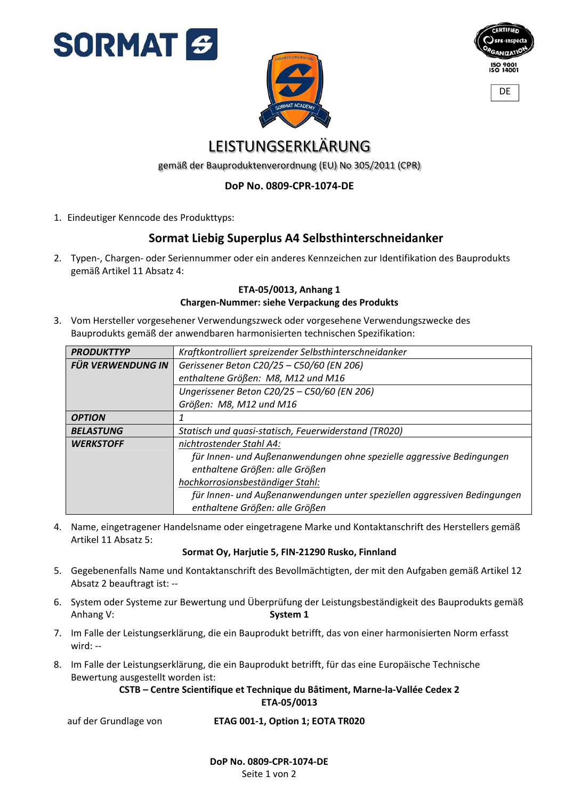



| <b>CERTIFIED</b>                    |
|-------------------------------------|
|                                     |
| <b>SFS-Inspecta</b>                 |
| CANIZATIO                           |
|                                     |
| <b>ISO 9001</b><br><b>ISO 14001</b> |
|                                     |

**DF** 

# LEISTUNGSERKLÄRUNG

gemäß der Bauproduktenverordnung (EU) No 305/2011 (CPR)

### **DoP No. 0809‐CPR‐1074‐DE**

1. Eindeutiger Kenncode des Produkttyps:

## **Sormat Liebig Superplus A4 Selbsthinterschneidanker**

2. Typen‐, Chargen‐ oder Seriennummer oder ein anderes Kennzeichen zur Identifikation des Bauprodukts gemäß Artikel 11 Absatz 4:

#### **ETA‐05/0013, Anhang 1 Chargen‐Nummer: siehe Verpackung des Produkts**

3. Vom Hersteller vorgesehener Verwendungszweck oder vorgesehene Verwendungszwecke des Bauprodukts gemäß der anwendbaren harmonisierten technischen Spezifikation:

| <b>PRODUKTTYP</b> | Kraftkontrolliert spreizender Selbsthinterschneidanker                   |  |  |  |  |
|-------------------|--------------------------------------------------------------------------|--|--|--|--|
| FÜR VERWENDUNG IN | Gerissener Beton C20/25 - C50/60 (EN 206)                                |  |  |  |  |
|                   | enthaltene Größen: M8, M12 und M16                                       |  |  |  |  |
|                   | Ungerissener Beton C20/25 - C50/60 (EN 206)                              |  |  |  |  |
|                   | Größen: M8, M12 und M16                                                  |  |  |  |  |
| <b>OPTION</b>     |                                                                          |  |  |  |  |
| <b>BELASTUNG</b>  | Statisch und quasi-statisch, Feuerwiderstand (TR020)                     |  |  |  |  |
| <b>WERKSTOFF</b>  | nichtrostender Stahl A4:                                                 |  |  |  |  |
|                   | für Innen- und Außenanwendungen ohne spezielle aggressive Bedingungen    |  |  |  |  |
|                   | enthaltene Größen: alle Größen                                           |  |  |  |  |
|                   | hochkorrosionsbeständiger Stahl:                                         |  |  |  |  |
|                   | für Innen- und Außenanwendungen unter speziellen aggressiven Bedingungen |  |  |  |  |
|                   | enthaltene Größen: alle Größen                                           |  |  |  |  |

4. Name, eingetragener Handelsname oder eingetragene Marke und Kontaktanschrift des Herstellers gemäß Artikel 11 Absatz 5:

### **Sormat Oy, Harjutie 5, FIN‐21290 Rusko, Finnland**

- 5. Gegebenenfalls Name und Kontaktanschrift des Bevollmächtigten, der mit den Aufgaben gemäß Artikel 12 Absatz 2 beauftragt ist: ‐‐
- 6. System oder Systeme zur Bewertung und Überprüfung der Leistungsbeständigkeit des Bauprodukts gemäß Anhang V: System 1
- 7. Im Falle der Leistungserklärung, die ein Bauprodukt betrifft, das von einer harmonisierten Norm erfasst wird: ‐‐
- 8. Im Falle der Leistungserklärung, die ein Bauprodukt betrifft, für das eine Europäische Technische Bewertung ausgestellt worden ist:

### **CSTB – Centre Scientifique et Technique du Bâtiment, Marne‐la‐Vallée Cedex 2 ETA‐05/0013**

auf der Grundlage von **ETAG 001‐1, Option 1; EOTA TR020**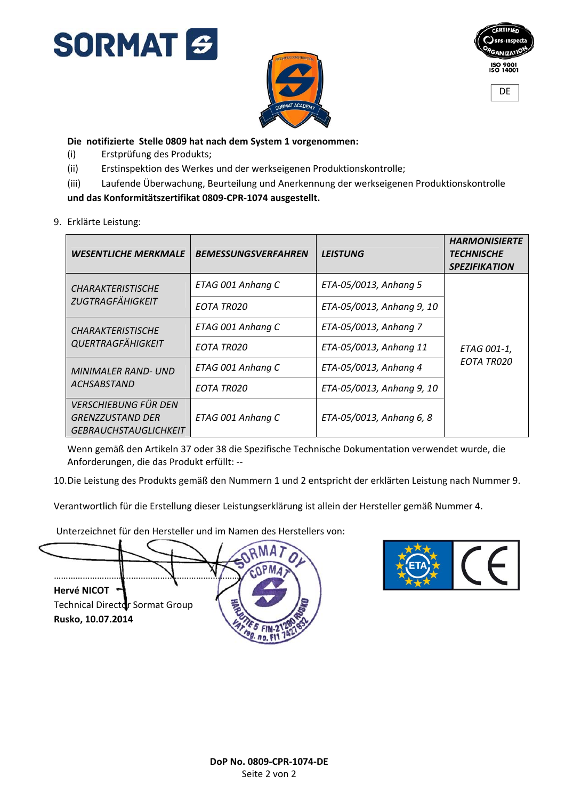





**Die notifizierte Stelle 0809 hat nach dem System 1 vorgenommen:**

- (i) Erstprüfung des Produkts;
- (ii) Erstinspektion des Werkes und der werkseigenen Produktionskontrolle;
- (iii) Laufende Überwachung, Beurteilung und Anerkennung der werkseigenen Produktionskontrolle

### **und das Konformitätszertifikat 0809‐CPR‐1074 ausgestellt.**

9. Erklärte Leistung:

| <b>WESENTLICHE MERKMALE</b>                          | <b>BEMESSUNGSVERFAHREN</b> | <b>LEISTUNG</b>           | <b>HARMONISIERTE</b><br><b>TECHNISCHE</b><br><b>SPEZIFIKATION</b> |
|------------------------------------------------------|----------------------------|---------------------------|-------------------------------------------------------------------|
| <b>CHARAKTERISTISCHE</b><br><b>ZUGTRAGFÄHIGKEIT</b>  | ETAG 001 Anhang C          | ETA-05/0013, Anhang 5     | ETAG 001-1,<br><b>EOTA TR020</b>                                  |
|                                                      | EOTA TR020                 | ETA-05/0013, Anhang 9, 10 |                                                                   |
| <b>CHARAKTERISTISCHE</b><br><b>QUERTRAGFÄHIGKEIT</b> | ETAG 001 Anhang C          | ETA-05/0013, Anhang 7     |                                                                   |
|                                                      | EOTA TR020                 | ETA-05/0013, Anhang 11    |                                                                   |
| <b>MINIMALER RAND- UND</b><br><b>ACHSABSTAND</b>     | ETAG 001 Anhang C          | ETA-05/0013, Anhang 4     |                                                                   |
|                                                      | EOTA TR020                 | ETA-05/0013, Anhang 9, 10 |                                                                   |
| <b>VERSCHIEBUNG FÜR DEN</b>                          |                            |                           |                                                                   |
| <b>GRENZZUSTAND DER</b>                              | ETAG 001 Anhang C          | ETA-05/0013, Anhang 6, 8  |                                                                   |
| <b>GEBRAUCHSTAUGLICHKEIT</b>                         |                            |                           |                                                                   |

Wenn gemäß den Artikeln 37 oder 38 die Spezifische Technische Dokumentation verwendet wurde, die Anforderungen, die das Produkt erfüllt: ‐‐

10.Die Leistung des Produkts gemäß den Nummern 1 und 2 entspricht der erklärten Leistung nach Nummer 9.

Verantwortlich für die Erstellung dieser Leistungserklärung ist allein der Hersteller gemäß Nummer 4.

Unterzeichnet für den Hersteller und im Namen des Herstellers von:



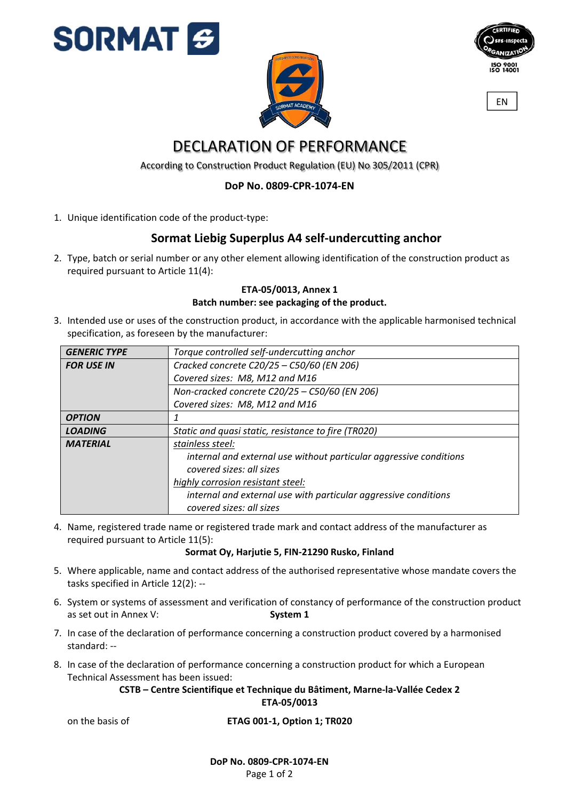





EN

# DECLARATION OF PERFORMANCE

According to Construction Product Regulation (EU) No 305/2011 (CPR)

### **DoP No. 0809‐CPR‐1074‐EN**

1. Unique identification code of the product-type:

## **Sormat Liebig Superplus A4 self‐undercutting anchor**

2. Type, batch or serial number or any other element allowing identification of the construction product as required pursuant to Article 11(4):

### **ETA‐05/0013, Annex 1 Batch number: see packaging of the product.**

3. Intended use or uses of the construction product, in accordance with the applicable harmonised technical specification, as foreseen by the manufacturer:

| <b>GENERIC TYPE</b> | Torque controlled self-undercutting anchor                         |  |  |  |  |  |
|---------------------|--------------------------------------------------------------------|--|--|--|--|--|
| <b>FOR USE IN</b>   | Cracked concrete C20/25 - C50/60 (EN 206)                          |  |  |  |  |  |
|                     | Covered sizes: M8, M12 and M16                                     |  |  |  |  |  |
|                     | Non-cracked concrete C20/25 - C50/60 (EN 206)                      |  |  |  |  |  |
|                     | Covered sizes: M8, M12 and M16                                     |  |  |  |  |  |
| <b>OPTION</b>       |                                                                    |  |  |  |  |  |
| <b>LOADING</b>      | Static and quasi static, resistance to fire (TR020)                |  |  |  |  |  |
| <b>MATERIAL</b>     | stainless steel:                                                   |  |  |  |  |  |
|                     | internal and external use without particular aggressive conditions |  |  |  |  |  |
|                     | covered sizes: all sizes                                           |  |  |  |  |  |
|                     | highly corrosion resistant steel:                                  |  |  |  |  |  |
|                     | internal and external use with particular aggressive conditions    |  |  |  |  |  |
|                     | covered sizes: all sizes                                           |  |  |  |  |  |

4. Name, registered trade name or registered trade mark and contact address of the manufacturer as required pursuant to Article 11(5):

#### **Sormat Oy, Harjutie 5, FIN‐21290 Rusko, Finland**

- 5. Where applicable, name and contact address of the authorised representative whose mandate covers the tasks specified in Article 12(2): ‐‐
- 6. System or systems of assessment and verification of constancy of performance of the construction product as set out in Annex V: **System 1**
- 7. In case of the declaration of performance concerning a construction product covered by a harmonised standard: ‐‐
- 8. In case of the declaration of performance concerning a construction product for which a European Technical Assessment has been issued:

### **CSTB – Centre Scientifique et Technique du Bâtiment, Marne‐la‐Vallée Cedex 2 ETA‐05/0013**

on the basis of **ETAG 001‐1, Option 1; TR020**